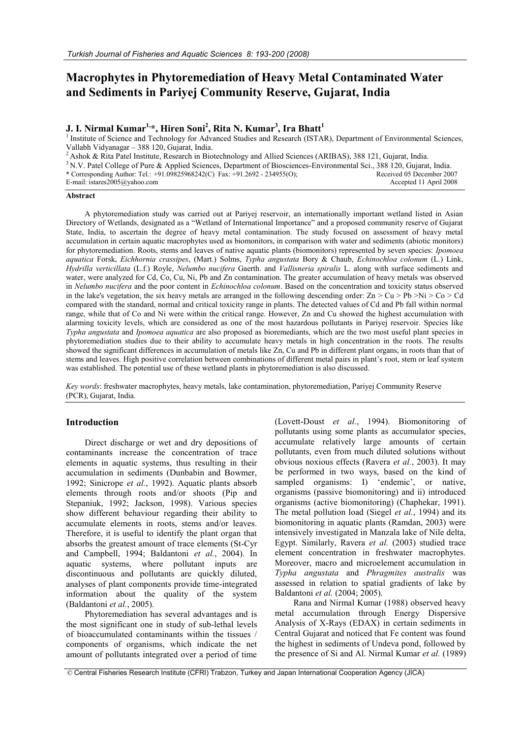# **Macrophytes in Phytoremediation of Heavy Metal Contaminated Water and Sediments in Pariyej Community Reserve, Gujarat, India**

# **J. I. Nirmal Kumar1,\*, Hiren Soni<sup>2</sup> , Rita N. Kumar<sup>3</sup> , Ira Bhatt<sup>1</sup>**

<sup>1</sup> Institute of Science and Technology for Advanced Studies and Research (ISTAR), Department of Environmental Sciences, Vallabh Vidyanagar – 388 120, Gujarat, India.

<sup>2</sup>Ashok & Rita Patel Institute, Research in Biotechnology and Allied Sciences (ARIBAS), 388 121, Gujarat, India.

<sup>3</sup> N.V. Patel College of Pure & Applied Sciences, Department of Biosciences-Environmental Sci., 388 120, Gujarat, India. \* Corresponding Author: Tel.: +91.09825968242(C) Fax: +91.2692 - 234955(O); E-mail: istares2005@yahoo.com Received 05 December 2007 Accepted 11 April 2008

#### **Abstract**

A phytoremediation study was carried out at Pariyej reservoir, an internationally important wetland listed in Asian Directory of Wetlands, designated as a "Wetland of International Importance" and a proposed community reserve of Gujarat State, India, to ascertain the degree of heavy metal contamination. The study focused on assessment of heavy metal accumulation in certain aquatic macrophytes used as biomonitors, in comparison with water and sediments (abiotic monitors) for phytoremediation. Roots, stems and leaves of native aquatic plants (biomonitors) represented by seven species: *Ipomoea aquatica* Forsk, *Eichhornia crassipes*, (Mart.) Solms, *Typha angustata* Bory & Chaub, *Echinochloa colonum* (L.) Link, *Hydrilla verticillata* (L.f.) Royle, *Nelumbo nucifera* Gaerth. and *Vallisneria spiralis* L. along with surface sediments and water, were analyzed for Cd, Co, Cu, Ni, Pb and Zn contamination. The greater accumulation of heavy metals was observed in *Nelumbo nucifera* and the poor content in *Echinochloa colonum*. Based on the concentration and toxicity status observed in the lake's vegetation, the six heavy metals are arranged in the following descending order:  $Zn > Cu > Pb$  >Ni > Co > Cd compared with the standard, normal and critical toxicity range in plants. The detected values of Cd and Pb fall within normal range, while that of Co and Ni were within the critical range. However, Zn and Cu showed the highest accumulation with alarming toxicity levels, which are considered as one of the most hazardous pollutants in Pariyej reservoir. Species like *Typha angustata* and *Ipomoea aquatica* are also proposed as bioremediants, which are the two most useful plant species in phytoremediation studies due to their ability to accumulate heavy metals in high concentration in the roots. The results showed the significant differences in accumulation of metals like Zn, Cu and Pb in different plant organs, in roots than that of stems and leaves. High positive correlation between combinations of different metal pairs in plant"s root, stem or leaf system was established. The potential use of these wetland plants in phytoremediation is also discussed.

*Key words*: freshwater macrophytes, heavy metals, lake contamination, phytoremediation, Pariyej Community Reserve (PCR), Gujarat, India.

# **Introduction**

Direct discharge or wet and dry depositions of contaminants increase the concentration of trace elements in aquatic systems, thus resulting in their accumulation in sediments (Dunbabin and Bowmer, 1992; Sinicrope *et al.*, 1992). Aquatic plants absorb elements through roots and/or shoots (Pip and Stepaniuk, 1992; Jackson, 1998). Various species show different behaviour regarding their ability to accumulate elements in roots, stems and/or leaves. Therefore, it is useful to identify the plant organ that absorbs the greatest amount of trace elements (St-Cyr and Campbell, 1994; Baldantoni *et al.*, 2004). In aquatic systems, where pollutant inputs are discontinuous and pollutants are quickly diluted, analyses of plant components provide time-integrated information about the quality of the system (Baldantoni *et al.*, 2005).

Phytoremediation has several advantages and is the most significant one in study of sub-lethal levels of bioaccumulated contaminants within the tissues / components of organisms, which indicate the net amount of pollutants integrated over a period of time

(Lovett-Doust *et al.*, 1994). Biomonitoring of pollutants using some plants as accumulator species, accumulate relatively large amounts of certain pollutants, even from much diluted solutions without obvious noxious effects (Ravera *et al.*, 2003). It may be performed in two ways, based on the kind of sampled organisms: I) 'endemic', or native, organisms (passive biomonitoring) and ii) introduced organisms (active biomonitoring) (Chaphekar, 1991). The metal pollution load (Siegel *et al.*, 1994) and its biomonitoring in aquatic plants (Ramdan, 2003) were intensively investigated in Manzala lake of Nile delta, Egypt. Similarly, Ravera *et al.* (2003) studied trace element concentration in freshwater macrophytes. Moreover, macro and microelement accumulation in *Typha angustata* and *Phragmites australis* was assessed in relation to spatial gradients of lake by Baldantoni *et al.* (2004; 2005).

Rana and Nirmal Kumar (1988) observed heavy metal accumulation through Energy Dispersive Analysis of X-Rays (EDAX) in certain sediments in Central Gujarat and noticed that Fe content was found the highest in sediments of Undeva pond, followed by the presence of Si and Al. Nirmal Kumar *et al.* (1989)

<sup>©</sup> Central Fisheries Research Institute (CFRI) Trabzon, Turkey and Japan International Cooperation Agency (JICA)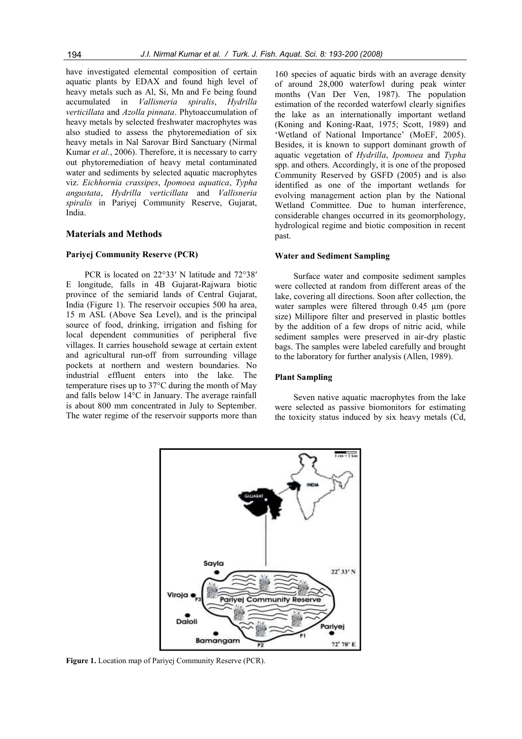have investigated elemental composition of certain aquatic plants by EDAX and found high level of heavy metals such as Al, Si, Mn and Fe being found accumulated in *Vallisneria spiralis*, *Hydrilla verticillata* and *Azolla pinnata*. Phytoaccumulation of heavy metals by selected freshwater macrophytes was also studied to assess the phytoremediation of six heavy metals in Nal Sarovar Bird Sanctuary (Nirmal Kumar *et al.*, 2006). Therefore, it is necessary to carry out phytoremediation of heavy metal contaminated water and sediments by selected aquatic macrophytes viz. *Eichhornia crassipes*, *Ipomoea aquatica*, *Typha angustata*, *Hydrilla verticillata* and *Vallisneria spiralis* in Pariyej Community Reserve, Gujarat, India.

#### **Materials and Methods**

# **Pariyej Community Reserve (PCR)**

PCR is located on 22°33′ N latitude and 72°38′ E longitude, falls in 4B Gujarat-Rajwara biotic province of the semiarid lands of Central Gujarat, India (Figure 1). The reservoir occupies 500 ha area, 15 m ASL (Above Sea Level), and is the principal source of food, drinking, irrigation and fishing for local dependent communities of peripheral five villages. It carries household sewage at certain extent and agricultural run-off from surrounding village pockets at northern and western boundaries. No industrial effluent enters into the lake. The temperature rises up to 37°C during the month of May and falls below 14°C in January. The average rainfall is about 800 mm concentrated in July to September. The water regime of the reservoir supports more than

160 species of aquatic birds with an average density of around 28,000 waterfowl during peak winter months (Van Der Ven, 1987). The population estimation of the recorded waterfowl clearly signifies the lake as an internationally important wetland (Koning and Koning-Raat, 1975; Scott, 1989) and 'Wetland of National Importance' (MoEF, 2005). Besides, it is known to support dominant growth of aquatic vegetation of *Hydrilla*, *Ipomoea* and *Typha* spp. and others. Accordingly, it is one of the proposed Community Reserved by GSFD (2005) and is also identified as one of the important wetlands for evolving management action plan by the National Wetland Committee. Due to human interference, considerable changes occurred in its geomorphology, hydrological regime and biotic composition in recent past.

#### **Water and Sediment Sampling**

Surface water and composite sediment samples were collected at random from different areas of the lake, covering all directions. Soon after collection, the water samples were filtered through 0.45  $\mu$ m (pore size) Millipore filter and preserved in plastic bottles by the addition of a few drops of nitric acid, while sediment samples were preserved in air-dry plastic bags. The samples were labeled carefully and brought to the laboratory for further analysis (Allen, 1989).

#### **Plant Sampling**

Seven native aquatic macrophytes from the lake were selected as passive biomonitors for estimating the toxicity status induced by six heavy metals (Cd,



**Figure 1.** Location map of Pariyej Community Reserve (PCR).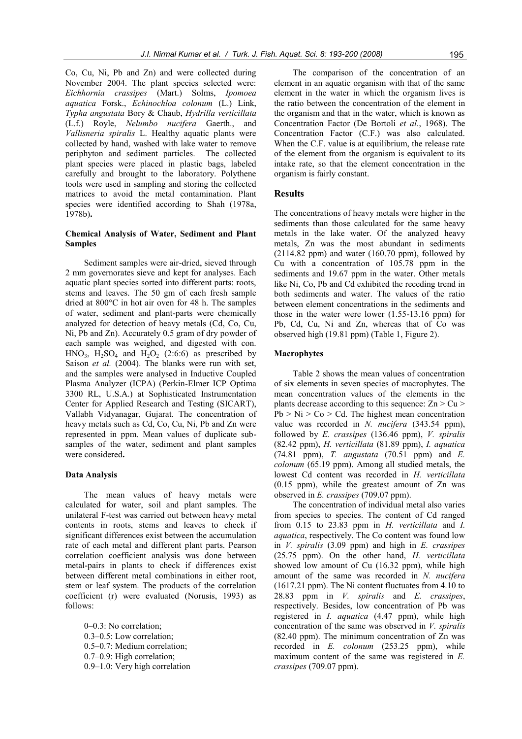Co, Cu, Ni, Pb and Zn) and were collected during November 2004. The plant species selected were: *Eichhornia crassipes* (Mart.) Solms, *Ipomoea aquatica* Forsk., *Echinochloa colonum* (L.) Link, *Typha angustata* Bory & Chaub, *Hydrilla verticillata* (L.f.) Royle, *Nelumbo nucifera* Gaerth., and *Vallisneria spiralis* L. Healthy aquatic plants were collected by hand, washed with lake water to remove periphyton and sediment particles. The collected plant species were placed in plastic bags, labeled carefully and brought to the laboratory. Polythene tools were used in sampling and storing the collected matrices to avoid the metal contamination. Plant species were identified according to Shah (1978a, 1978b)**.** 

# **Chemical Analysis of Water, Sediment and Plant Samples**

Sediment samples were air-dried, sieved through 2 mm governorates sieve and kept for analyses. Each aquatic plant species sorted into different parts: roots, stems and leaves. The 50 gm of each fresh sample dried at 800°C in hot air oven for 48 h. The samples of water, sediment and plant-parts were chemically analyzed for detection of heavy metals (Cd, Co, Cu, Ni, Pb and Zn). Accurately 0.5 gram of dry powder of each sample was weighed, and digested with con. HNO<sub>3</sub>, H<sub>2</sub>SO<sub>4</sub> and H<sub>2</sub>O<sub>2</sub> (2:6:6) as prescribed by Saison *et al.* (2004). The blanks were run with set, and the samples were analysed in Inductive Coupled Plasma Analyzer (ICPA) (Perkin-Elmer ICP Optima 3300 RL, U.S.A.) at Sophisticated Instrumentation Center for Applied Research and Testing (SICART), Vallabh Vidyanagar, Gujarat. The concentration of heavy metals such as Cd, Co, Cu, Ni, Pb and Zn were represented in ppm. Mean values of duplicate subsamples of the water, sediment and plant samples were considered**.** 

#### **Data Analysis**

The mean values of heavy metals were calculated for water, soil and plant samples. The unilateral F-test was carried out between heavy metal contents in roots, stems and leaves to check if significant differences exist between the accumulation rate of each metal and different plant parts. Pearson correlation coefficient analysis was done between metal-pairs in plants to check if differences exist between different metal combinations in either root, stem or leaf system. The products of the correlation coefficient (r) were evaluated (Norusis, 1993) as follows:

0–0.3: No correlation; 0.3–0.5: Low correlation; 0.5–0.7: Medium correlation; 0.7–0.9: High correlation; 0.9–1.0: Very high correlation

The comparison of the concentration of an element in an aquatic organism with that of the same element in the water in which the organism lives is the ratio between the concentration of the element in the organism and that in the water, which is known as Concentration Factor (De Bortoli *et al.*, 1968). The Concentration Factor (C.F.) was also calculated. When the C.F. value is at equilibrium, the release rate of the element from the organism is equivalent to its intake rate, so that the element concentration in the organism is fairly constant.

# **Results**

The concentrations of heavy metals were higher in the sediments than those calculated for the same heavy metals in the lake water. Of the analyzed heavy metals, Zn was the most abundant in sediments  $(2114.82$  ppm) and water  $(160.70$  ppm), followed by Cu with a concentration of 105.78 ppm in the sediments and 19.67 ppm in the water. Other metals like Ni, Co, Pb and Cd exhibited the receding trend in both sediments and water. The values of the ratio between element concentrations in the sediments and those in the water were lower (1.55-13.16 ppm) for Pb, Cd, Cu, Ni and Zn, whereas that of Co was observed high (19.81 ppm) (Table 1, Figure 2).

#### **Macrophytes**

Table 2 shows the mean values of concentration of six elements in seven species of macrophytes. The mean concentration values of the elements in the plants decrease according to this sequence:  $Zn > Cu$  $Pb > Ni > Co > Cd$ . The highest mean concentration value was recorded in *N. nucifera* (343.54 ppm), followed by *E. crassipes* (136.46 ppm), *V. spiralis* (82.42 ppm), *H. verticillata* (81.89 ppm), *I. aquatica* (74.81 ppm), *T. angustata* (70.51 ppm) and *E. colonum* (65.19 ppm). Among all studied metals, the lowest Cd content was recorded in *H. verticillata* (0.15 ppm), while the greatest amount of Zn was observed in *E. crassipes* (709.07 ppm).

The concentration of individual metal also varies from species to species. The content of Cd ranged from 0.15 to 23.83 ppm in *H. verticillata* and *I. aquatica*, respectively. The Co content was found low in *V. spiralis* (3.09 ppm) and high in *E. crassipes* (25.75 ppm). On the other hand, *H. verticillata* showed low amount of Cu (16.32 ppm), while high amount of the same was recorded in *N. nucifera* (1617.21 ppm). The Ni content fluctuates from 4.10 to 28.83 ppm in *V. spiralis* and *E. crassipes*, respectively. Besides, low concentration of Pb was registered in *I. aquatica* (4.47 ppm), while high concentration of the same was observed in *V. spiralis*  $(82.40$  ppm). The minimum concentration of  $\overline{Z}$ n was recorded in *E. colonum* (253.25 ppm), while maximum content of the same was registered in *E. crassipes* (709.07 ppm).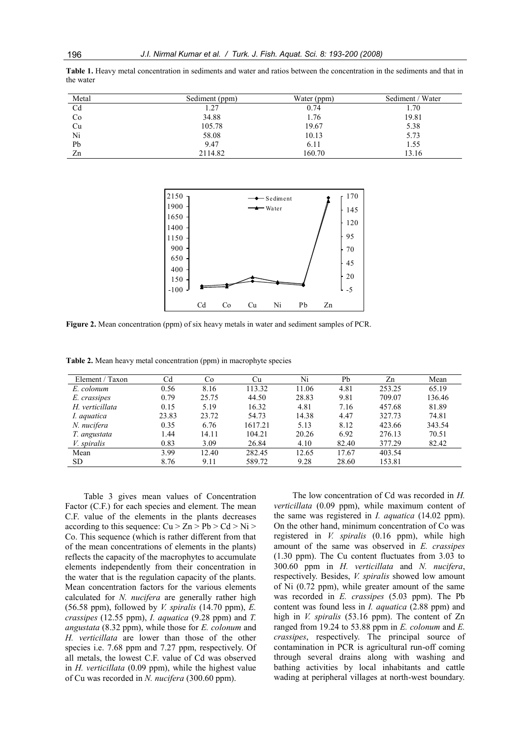| Metal | Sediment (ppm) | Water (ppm) | Sediment / Water |
|-------|----------------|-------------|------------------|
| Cd    | 27             | 0.74        | 1.70             |
| Co    | 34.88          | 1.76        | 19.81            |
| Cu    | 105.78         | 19.67       | 5.38             |
| Ni    | 58.08          | 10.13       | 5.73             |
| Pb    | 9.47           | 6.11        | 1.55             |
| Zn    | 2114.82        | 160.70      | 13.16            |

**Table 1.** Heavy metal concentration in sediments and water and ratios between the concentration in the sediments and that in the water



**Figure 2.** Mean concentration (ppm) of six heavy metals in water and sediment samples of PCR.

**Table 2.** Mean heavy metal concentration (ppm) in macrophyte species

| Element / Taxon    | Cd    | Co    | Сu      | Ni    | Pb    | Zn     | Mean   |
|--------------------|-------|-------|---------|-------|-------|--------|--------|
| E. colonum         | 0.56  | 8.16  | 113.32  | 11.06 | 4.81  | 253.25 | 65.19  |
| E. crassipes       | 0.79  | 25.75 | 44.50   | 28.83 | 9.81  | 709.07 | 136.46 |
| H. verticillata    | 0.15  | 5.19  | 16.32   | 4.81  | 7.16  | 457.68 | 81.89  |
| I. aquatica        | 23.83 | 23.72 | 54.73   | 14.38 | 4.47  | 327.73 | 74.81  |
| N. nucifera        | 0.35  | 6.76  | 1617.21 | 5.13  | 8.12  | 423.66 | 343.54 |
| T. angustata       | 1.44  | 14.11 | 104.21  | 20.26 | 6.92  | 276.13 | 70.51  |
| <i>V.</i> spiralis | 0.83  | 3.09  | 26.84   | 4.10  | 82.40 | 377.29 | 82.42  |
| Mean               | 3.99  | 12.40 | 282.45  | 12.65 | 17.67 | 403.54 |        |
| SD.                | 8.76  | 9.11  | 589.72  | 9.28  | 28.60 | 153.81 |        |

Table 3 gives mean values of Concentration Factor (C.F.) for each species and element. The mean C.F. value of the elements in the plants decreases according to this sequence:  $Cu > Zn > Pb > Cd > Ni >$ Co. This sequence (which is rather different from that of the mean concentrations of elements in the plants) reflects the capacity of the macrophytes to accumulate elements independently from their concentration in the water that is the regulation capacity of the plants. Mean concentration factors for the various elements calculated for *N. nucifera* are generally rather high (56.58 ppm), followed by *V. spiralis* (14.70 ppm), *E. crassipes* (12.55 ppm), *I. aquatica* (9.28 ppm) and *T. angustata* (8.32 ppm), while those for *E. colonum* and *H. verticillata* are lower than those of the other species i.e. 7.68 ppm and 7.27 ppm, respectively. Of all metals, the lowest C.F. value of Cd was observed in *H. verticillata* (0.09 ppm), while the highest value of Cu was recorded in *N. nucifera* (300.60 ppm).

The low concentration of Cd was recorded in *H. verticillata* (0.09 ppm), while maximum content of the same was registered in *I. aquatica* (14.02 ppm). On the other hand, minimum concentration of Co was registered in *V. spiralis* (0.16 ppm), while high amount of the same was observed in *E. crassipes* (1.30 ppm). The Cu content fluctuates from 3.03 to 300.60 ppm in *H. verticillata* and *N. nucifera*, respectively. Besides, *V. spiralis* showed low amount of Ni (0.72 ppm), while greater amount of the same was recorded in *E. crassipes* (5.03 ppm). The Pb content was found less in *I. aquatica* (2.88 ppm) and high in *V. spiralis* (53.16 ppm). The content of Zn ranged from 19.24 to 53.88 ppm in *E. colonum* and *E. crassipes*, respectively. The principal source of contamination in PCR is agricultural run-off coming through several drains along with washing and bathing activities by local inhabitants and cattle wading at peripheral villages at north-west boundary.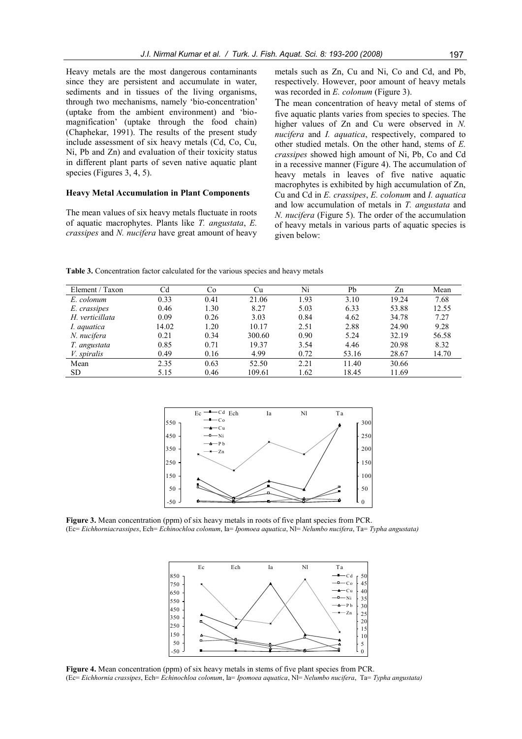Heavy metals are the most dangerous contaminants since they are persistent and accumulate in water, sediments and in tissues of the living organisms, through two mechanisms, namely "bio-concentration" (uptake from the ambient environment) and "biomagnification" (uptake through the food chain) (Chaphekar, 1991). The results of the present study include assessment of six heavy metals (Cd, Co, Cu, Ni, Pb and Zn) and evaluation of their toxicity status in different plant parts of seven native aquatic plant species (Figures 3, 4, 5).

# **Heavy Metal Accumulation in Plant Components**

The mean values of six heavy metals fluctuate in roots of aquatic macrophytes. Plants like *T. angustata*, *E. crassipes* and *N. nucifera* have great amount of heavy metals such as Zn, Cu and Ni, Co and Cd, and Pb, respectively. However, poor amount of heavy metals was recorded in *E. colonum* (Figure 3).

The mean concentration of heavy metal of stems of five aquatic plants varies from species to species. The higher values of Zn and Cu were observed in *N. nucifera* and *I. aquatica*, respectively, compared to other studied metals. On the other hand, stems of *E. crassipes* showed high amount of Ni, Pb, Co and Cd in a recessive manner (Figure 4). The accumulation of heavy metals in leaves of five native aquatic macrophytes is exhibited by high accumulation of Zn, Cu and Cd in *E. crassipes*, *E. colonum* and *I. aquatica* and low accumulation of metals in *T. angustata* and *N. nucifera* (Figure 5). The order of the accumulation of heavy metals in various parts of aquatic species is given below:

**Table 3.** Concentration factor calculated for the various species and heavy metals

| Element / Taxon    | Cd    | Co   | Cu     | Ni   | Pb    | Zn    | Mean  |
|--------------------|-------|------|--------|------|-------|-------|-------|
| E. colonum         | 0.33  | 0.41 | 21.06  | 1.93 | 3.10  | 19.24 | 7.68  |
| E. crassipes       | 0.46  | l.30 | 8.27   | 5.03 | 6.33  | 53.88 | 12.55 |
| H. verticillata    | 0.09  | 0.26 | 3.03   | 0.84 | 4.62  | 34.78 | 7.27  |
| I. aquatica        | 14.02 | 1.20 | 10.17  | 2.51 | 2.88  | 24.90 | 9.28  |
| N. nucifera        | 0.21  | 0.34 | 300.60 | 0.90 | 5.24  | 32.19 | 56.58 |
| T. angustata       | 0.85  | 0.71 | 19.37  | 3.54 | 4.46  | 20.98 | 8.32  |
| <i>V.</i> spiralis | 0.49  | 0.16 | 4.99   | 0.72 | 53.16 | 28.67 | 14.70 |
| Mean               | 2.35  | 0.63 | 52.50  | 2.21 | 11.40 | 30.66 |       |
| SD.                | 5.15  | 0.46 | 109.61 | 1.62 | 18.45 | 11.69 |       |



**Figure 3.** Mean concentration (ppm) of six heavy metals in roots of five plant species from PCR. (Ec= *Eichhorniacrassipes*, Ech= *Echinochloa colonum*, Ia= *Ipomoea aquatica*, Nl= *Nelumbo nucifera*, Ta= *Typha angustata)*



**Figure 4.** Mean concentration (ppm) of six heavy metals in stems of five plant species from PCR. (Ec= *Eichhornia crassipes*, Ech= *Echinochloa colonum*, Ia= *Ipomoea aquatica*, Nl= *Nelumbo nucifera*, Ta= *Typha angustata)*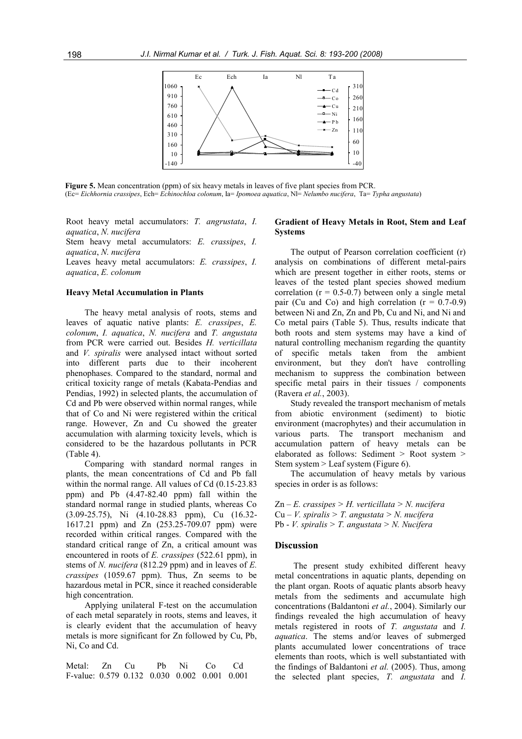

Figure 5. Mean concentration (ppm) of six heavy metals in leaves of five plant species from PCR. (Ec= *Eichhornia crassipes*, Ech= *Echinochloa colonum*, Ia= *Ipomoea aquatica*, Nl= *Nelumbo nucifera*, Ta= *Typha angustata*)

Root heavy metal accumulators: *T. angrustata*, *I. aquatica*, *N. nucifera*

Stem heavy metal accumulators: *E. crassipes*, *I. aquatica*, *N. nucifera*

Leaves heavy metal accumulators: *E. crassipes*, *I. aquatica*, *E. colonum*

#### **Heavy Metal Accumulation in Plants**

The heavy metal analysis of roots, stems and leaves of aquatic native plants: *E. crassipes*, *E. colonum*, *I. aquatica*, *N. nucifera* and *T. angustata*  from PCR were carried out. Besides *H. verticillata* and *V. spiralis* were analysed intact without sorted into different parts due to their incoherent phenophases. Compared to the standard, normal and critical toxicity range of metals (Kabata-Pendias and Pendias, 1992) in selected plants, the accumulation of Cd and Pb were observed within normal ranges, while that of Co and Ni were registered within the critical range. However, Zn and Cu showed the greater accumulation with alarming toxicity levels, which is considered to be the hazardous pollutants in PCR (Table 4).

Comparing with standard normal ranges in plants, the mean concentrations of Cd and Pb fall within the normal range. All values of Cd (0.15-23.83 ppm) and Pb (4.47-82.40 ppm) fall within the standard normal range in studied plants, whereas Co (3.09-25.75), Ni (4.10-28.83 ppm), Cu (16.32- 1617.21 ppm) and Zn (253.25-709.07 ppm) were recorded within critical ranges. Compared with the standard critical range of Zn, a critical amount was encountered in roots of *E. crassipes* (522.61 ppm), in stems of *N. nucifera* (812.29 ppm) and in leaves of *E. crassipes* (1059.67 ppm). Thus, Zn seems to be hazardous metal in PCR, since it reached considerable high concentration.

Applying unilateral F-test on the accumulation of each metal separately in roots, stems and leaves, it is clearly evident that the accumulation of heavy metals is more significant for Zn followed by Cu, Pb, Ni, Co and Cd.

Metal: Zn Cu Pb Ni Co Cd F-value: 0.579 0.132 0.030 0.002 0.001 0.001

# **Gradient of Heavy Metals in Root, Stem and Leaf Systems**

The output of Pearson correlation coefficient (r) analysis on combinations of different metal-pairs which are present together in either roots, stems or leaves of the tested plant species showed medium correlation  $(r = 0.5-0.7)$  between only a single metal pair (Cu and Co) and high correlation  $(r = 0.7-0.9)$ between Ni and Zn, Zn and Pb, Cu and Ni, and Ni and Co metal pairs (Table 5). Thus, results indicate that both roots and stem systems may have a kind of natural controlling mechanism regarding the quantity of specific metals taken from the ambient environment, but they don't have controlling mechanism to suppress the combination between specific metal pairs in their tissues / components (Ravera *et al.*, 2003).

Study revealed the transport mechanism of metals from abiotic environment (sediment) to biotic environment (macrophytes) and their accumulation in various parts. The transport mechanism and accumulation pattern of heavy metals can be elaborated as follows: Sediment > Root system > Stem system > Leaf system (Figure 6).

The accumulation of heavy metals by various species in order is as follows:

Zn – *E. crassipes > H. verticillata > N. nucifera* Cu – *V. spiralis > T. angustata > N. nucifera* Pb - *V. spiralis > T. angustata > N. Nucifera*

#### **Discussion**

The present study exhibited different heavy metal concentrations in aquatic plants, depending on the plant organ. Roots of aquatic plants absorb heavy metals from the sediments and accumulate high concentrations (Baldantoni *et al.*, 2004). Similarly our findings revealed the high accumulation of heavy metals registered in roots of *T. angustata* and *I. aquatica*. The stems and/or leaves of submerged plants accumulated lower concentrations of trace elements than roots, which is well substantiated with the findings of Baldantoni *et al.* (2005). Thus, among the selected plant species, *T. angustata* and *I.*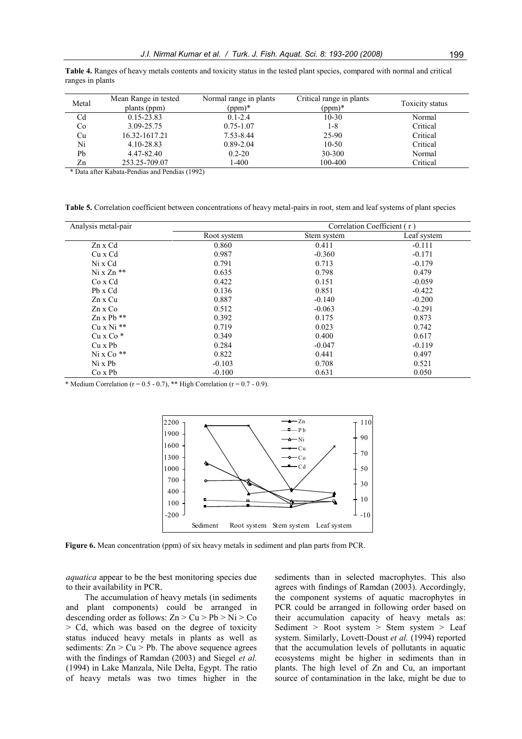| Metal          | Mean Range in tested<br>plants (ppm) | Normal range in plants<br>$(ppm)*$ | Critical range in plants<br>$(ppm)*$ | Toxicity status |
|----------------|--------------------------------------|------------------------------------|--------------------------------------|-----------------|
| C <sub>d</sub> | 0.15-23.83                           | $0.1 - 2.4$                        | $10-30$                              | Normal          |
| Co             | 3.09-25.75                           | $0.75 - 1.07$                      | 1-8                                  | Critical        |
| Cu             | 16.32-1617.21                        | 7.53-8.44                          | 25-90                                | Critical        |
| Ni             | 4.10-28.83                           | $0.89 - 2.04$                      | $10 - 50$                            | Critical        |
| Pb             | 4.47-82.40                           | $0.2 - 20$                         | 30-300                               | Normal          |
| Zn             | 253.25-709.07                        | 1-400                              | 100-400                              | Critical        |

**Table 4.** Ranges of heavy metals contents and toxicity status in the tested plant species, compared with normal and critical ranges in plants

\* Data after Kabata-Pendias and Pendias (1992)

**Table 5.** Correlation coefficient between concentrations of heavy metal-pairs in root, stem and leaf systems of plant species

| Analysis metal-pair | Correlation Coefficient (r) |             |             |  |  |
|---------------------|-----------------------------|-------------|-------------|--|--|
|                     | Root system                 | Stem system | Leaf system |  |  |
| Zn x Cd             | 0.860                       | 0.411       | $-0.111$    |  |  |
| Cu x Cd             | 0.987                       | $-0.360$    | $-0.171$    |  |  |
| Ni x Cd             | 0.791                       | 0.713       | $-0.179$    |  |  |
| $N_1$ x $Zn$ **     | 0.635                       | 0.798       | 0.479       |  |  |
| Co x Cd             | 0.422                       | 0.151       | $-0.059$    |  |  |
| Ph x Cd             | 0.136                       | 0.851       | $-0.422$    |  |  |
| Zn x Cu             | 0.887                       | $-0.140$    | $-0.200$    |  |  |
| $Zn \times Co$      | 0.512                       | $-0.063$    | $-0.291$    |  |  |
| $Zn \times Pb$ **   | 0.392                       | 0.175       | 0.873       |  |  |
| $Cu \times Ni$ **   | 0.719                       | 0.023       | 0.742       |  |  |
| $Cu \times Co*$     | 0.349                       | 0.400       | 0.617       |  |  |
| Cu x Pb             | 0.284                       | $-0.047$    | $-0.119$    |  |  |
| $Ni \times Co$ **   | 0.822                       | 0.441       | 0.497       |  |  |
| Ni x Ph             | $-0.103$                    | 0.708       | 0.521       |  |  |
| $Co \times Pb$      | $-0.100$                    | 0.631       | 0.050       |  |  |

\* Medium Correlation (r =  $0.5 - 0.7$ ), \*\* High Correlation (r =  $0.7 - 0.9$ ).



**Figure 6.** Mean concentration (ppm) of six heavy metals in sediment and plan parts from PCR.

*aquatica* appear to be the best monitoring species due to their availability in PCR.

The accumulation of heavy metals (in sediments and plant components) could be arranged in descending order as follows:  $Zn > Cu > Pb > Ni > Co$ > Cd, which was based on the degree of toxicity status induced heavy metals in plants as well as sediments:  $Zn > Cu > Pb$ . The above sequence agrees with the findings of Ramdan (2003) and Siegel *et al.* (1994) in Lake Manzala, Nile Delta, Egypt. The ratio of heavy metals was two times higher in the sediments than in selected macrophytes. This also agrees with findings of Ramdan (2003). Accordingly, the component systems of aquatic macrophytes in PCR could be arranged in following order based on their accumulation capacity of heavy metals as: Sediment > Root system > Stem system > Leaf system. Similarly, Lovett-Doust *et al.* (1994) reported that the accumulation levels of pollutants in aquatic ecosystems might be higher in sediments than in plants. The high level of Zn and Cu, an important source of contamination in the lake, might be due to